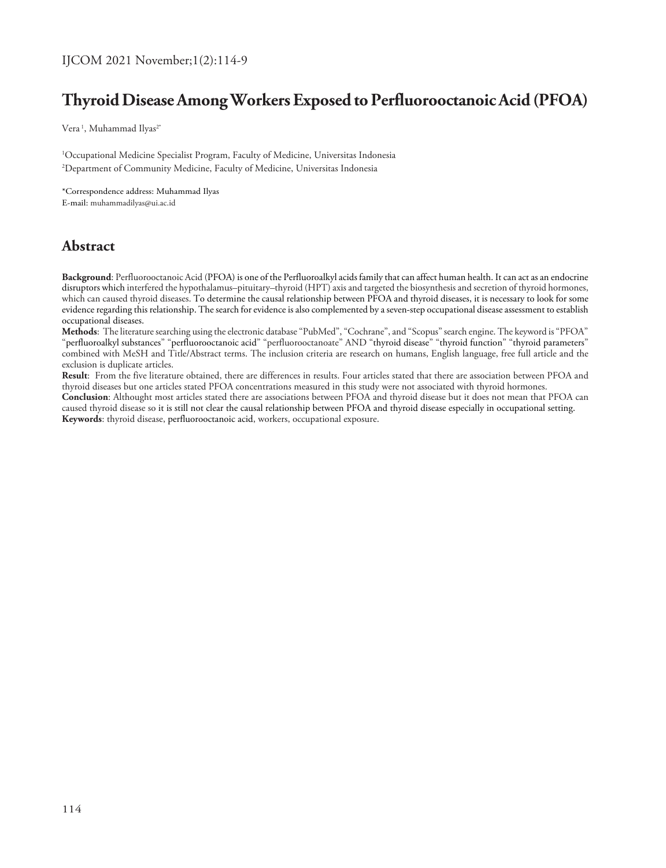# **Thyroid Disease Among Workers Exposed to Perfluorooctanoic Acid (PFOA)**

Vera<sup>1</sup>, Muhammad Ilyas<sup>2\*</sup>

1 Occupational Medicine Specialist Program, Faculty of Medicine, Universitas Indonesia 2 Department of Community Medicine, Faculty of Medicine, Universitas Indonesia

\*Correspondence address: Muhammad Ilyas

E-mail: muhammadilyas@ui.ac.id

## **Abstract**

**Background**: Perfluorooctanoic Acid (PFOA) is one of the Perfluoroalkyl acids family that can affect human health. It can act as an endocrine disruptors which interfered the hypothalamus–pituitary–thyroid (HPT) axis and targeted the biosynthesis and secretion of thyroid hormones, which can caused thyroid diseases. To determine the causal relationship between PFOA and thyroid diseases, it is necessary to look for some evidence regarding this relationship. The search for evidence is also complemented by a seven-step occupational disease assessment to establish occupational diseases.

**Methods**: The literature searching using the electronic database "PubMed", "Cochrane", and "Scopus" search engine. The keyword is "PFOA" "perfluoroalkyl substances" "perfluorooctanoic acid" "perfluorooctanoate" AND "thyroid disease" "thyroid function" "thyroid parameters" combined with MeSH and Title/Abstract terms. The inclusion criteria are research on humans, English language, free full article and the exclusion is duplicate articles.

**Result**: From the five literature obtained, there are differences in results. Four articles stated that there are association between PFOA and thyroid diseases but one articles stated PFOA concentrations measured in this study were not associated with thyroid hormones.

**Conclusion**: Althought most articles stated there are associations between PFOA and thyroid disease but it does not mean that PFOA can caused thyroid disease so it is still not clear the causal relationship between PFOA and thyroid disease especially in occupational setting. **Keywords**: thyroid disease, perfluorooctanoic acid, workers, occupational exposure.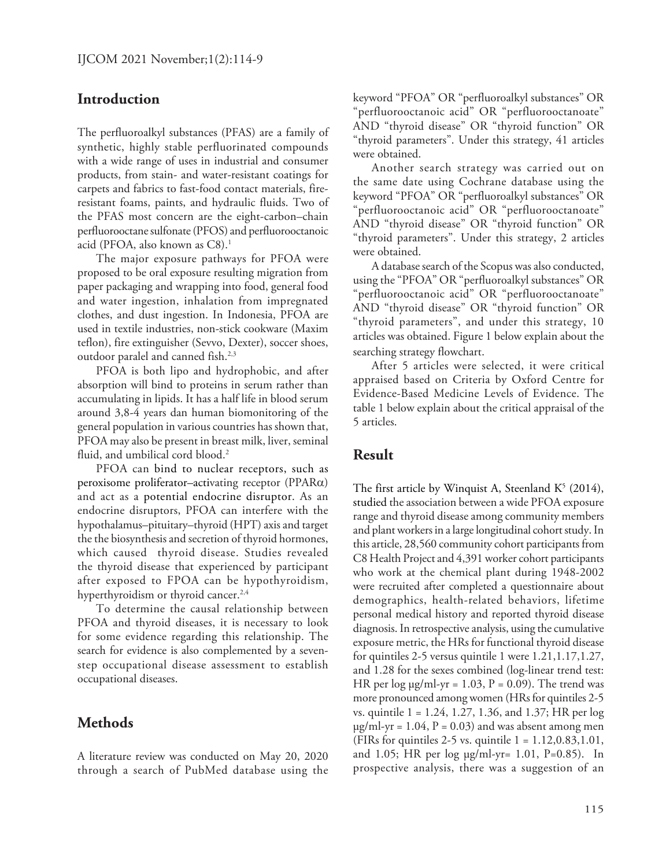#### **Introduction**

The perfluoroalkyl substances (PFAS) are a family of synthetic, highly stable perfluorinated compounds with a wide range of uses in industrial and consumer products, from stain- and water-resistant coatings for carpets and fabrics to fast-food contact materials, fireresistant foams, paints, and hydraulic fluids. Two of the PFAS most concern are the eight-carbon–chain perfluorooctane sulfonate (PFOS) and perfluorooctanoic acid (PFOA, also known as C8).<sup>1</sup>

The major exposure pathways for PFOA were proposed to be oral exposure resulting migration from paper packaging and wrapping into food, general food and water ingestion, inhalation from impregnated clothes, and dust ingestion. In Indonesia, PFOA are used in textile industries, non-stick cookware (Maxim teflon), fire extinguisher (Sevvo, Dexter), soccer shoes, outdoor paralel and canned fish.<sup>2,3</sup>

PFOA is both lipo and hydrophobic, and after absorption will bind to proteins in serum rather than accumulating in lipids. It has a half life in blood serum around 3,8-4 years dan human biomonitoring of the general population in various countries has shown that, PFOA may also be present in breast milk, liver, seminal fluid, and umbilical cord blood.<sup>2</sup>

PFOA can bind to nuclear receptors, such as peroxisome proliferator–activating receptor (PPARα) and act as a potential endocrine disruptor. As an endocrine disruptors, PFOA can interfere with the hypothalamus–pituitary–thyroid (HPT) axis and target the the biosynthesis and secretion of thyroid hormones, which caused thyroid disease. Studies revealed the thyroid disease that experienced by participant after exposed to FPOA can be hypothyroidism, hyperthyroidism or thyroid cancer.<sup>2,4</sup>

To determine the causal relationship between PFOA and thyroid diseases, it is necessary to look for some evidence regarding this relationship. The search for evidence is also complemented by a sevenstep occupational disease assessment to establish occupational diseases.

### **Methods**

A literature review was conducted on May 20, 2020 through a search of PubMed database using the keyword "PFOA" OR "perfluoroalkyl substances" OR "perfluorooctanoic acid" OR "perfluorooctanoate" AND "thyroid disease" OR "thyroid function" OR "thyroid parameters". Under this strategy, 41 articles were obtained.

Another search strategy was carried out on the same date using Cochrane database using the keyword "PFOA" OR "perfluoroalkyl substances" OR "perfluorooctanoic acid" OR "perfluorooctanoate" AND "thyroid disease" OR "thyroid function" OR "thyroid parameters". Under this strategy, 2 articles were obtained.

A database search of the Scopus was also conducted, using the "PFOA" OR "perfluoroalkyl substances" OR "perfluorooctanoic acid" OR "perfluorooctanoate" AND "thyroid disease" OR "thyroid function" OR "thyroid parameters", and under this strategy, 10 articles was obtained. Figure 1 below explain about the searching strategy flowchart.

After 5 articles were selected, it were critical appraised based on Criteria by Oxford Centre for Evidence-Based Medicine Levels of Evidence. The table 1 below explain about the critical appraisal of the 5 articles.

#### **Result**

The first article by Winquist A, Steenland  $K^5$  (2014), studied the association between a wide PFOA exposure range and thyroid disease among community members and plant workers in a large longitudinal cohort study. In this article, 28,560 community cohort participants from C8 Health Project and 4,391 worker cohort participants who work at the chemical plant during 1948-2002 were recruited after completed a questionnaire about demographics, health-related behaviors, lifetime personal medical history and reported thyroid disease diagnosis. In retrospective analysis, using the cumulative exposure metric, the HRs for functional thyroid disease for quintiles 2-5 versus quintile 1 were 1.21,1.17,1.27, and 1.28 for the sexes combined (log-linear trend test: HR per  $log \mu g/ml - yr = 1.03$ ,  $P = 0.09$ ). The trend was more pronounced among women (HRs for quintiles 2-5 vs. quintile 1 = 1.24, 1.27, 1.36, and 1.37; HR per log  $\mu$ g/ml-yr = 1.04, P = 0.03) and was absent among men (FIRs for quintiles 2-5 vs. quintile  $1 = 1.12, 0.83, 1.01$ , and 1.05; HR per log μg/ml-yr= 1.01, P=0.85). In prospective analysis, there was a suggestion of an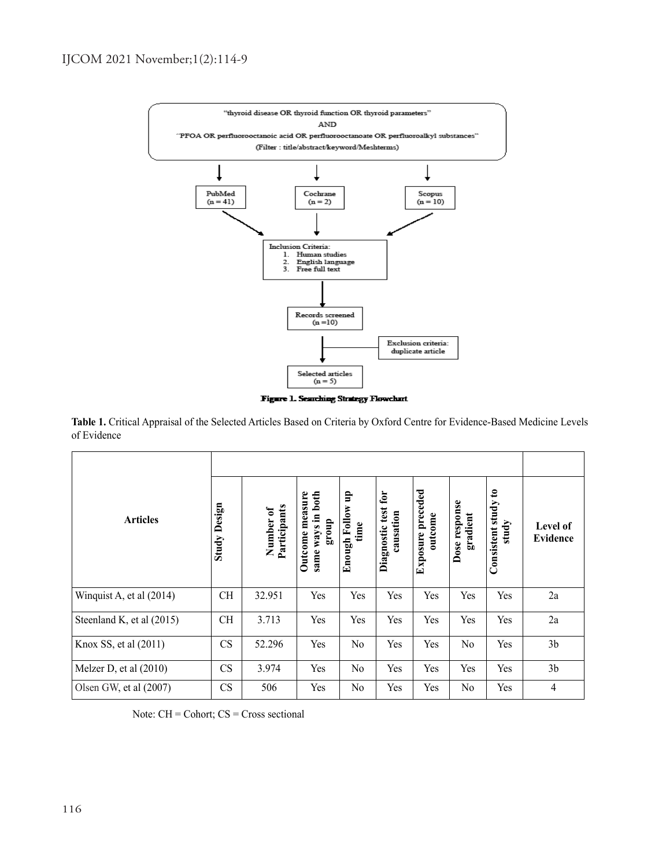

Figure 1. Searching Strategy Flowchart

**Table 1.** Critical Appraisal of the Selected Articles Based on Criteria by Oxford Centre for Evidence-Based Medicine Levels of Evidence

| <b>Articles</b>           |                 |                           |                                                      |                                    |                                     |                                 |                           |                                                        |                      |
|---------------------------|-----------------|---------------------------|------------------------------------------------------|------------------------------------|-------------------------------------|---------------------------------|---------------------------|--------------------------------------------------------|----------------------|
|                           | Design<br>Study | Number of<br>Participants | Outcome measure<br>both<br>ways in<br>dno.18<br>same | ηp<br><b>Enough Follow</b><br>time | for<br>Diagnostic test<br>causation | preceded<br>outcome<br>Exposure | Dose response<br>gradient | $\boldsymbol{\mathsf{s}}$<br>Consistent study<br>study | Level of<br>Evidence |
| Winquist A, et al (2014)  | <b>CH</b>       | 32.951                    | Yes                                                  | Yes                                | Yes                                 | Yes                             | Yes                       | Yes                                                    | 2a                   |
| Steenland K, et al (2015) | <b>CH</b>       | 3.713                     | Yes                                                  | Yes                                | Yes                                 | Yes                             | Yes                       | Yes                                                    | 2a                   |
| Knox SS, et al (2011)     | CS              | 52.296                    | Yes                                                  | N <sub>o</sub>                     | Yes                                 | Yes                             | N <sub>o</sub>            | Yes                                                    | 3 <sub>b</sub>       |
| Melzer D, et al $(2010)$  | CS              | 3.974                     | Yes                                                  | No                                 | Yes                                 | Yes                             | Yes                       | Yes                                                    | 3 <sub>b</sub>       |
| Olsen GW, et al (2007)    | CS              | 506                       | Yes                                                  | No                                 | Yes                                 | Yes                             | N <sub>o</sub>            | Yes                                                    | $\overline{4}$       |

Note: CH = Cohort; CS = Cross sectional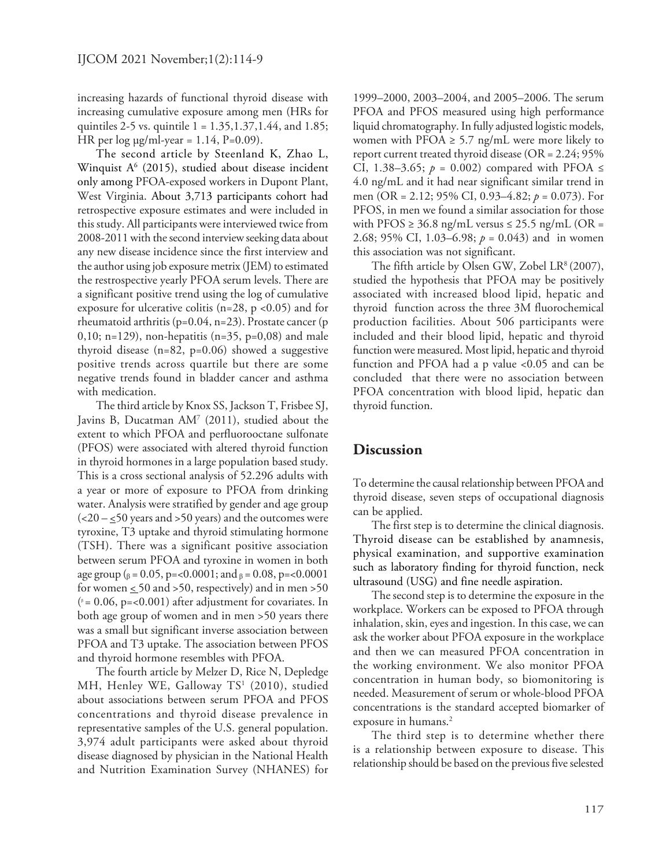increasing hazards of functional thyroid disease with increasing cumulative exposure among men (HRs for quintiles 2-5 vs. quintile  $1 = 1.35, 1.37, 1.44,$  and  $1.85$ ; HR per  $log \mu g/ml$ -year = 1.14, P=0.09).

The second article by Steenland K, Zhao L, Winquist  $A<sup>6</sup>$  (2015), studied about disease incident only among PFOA-exposed workers in Dupont Plant, West Virginia. About 3,713 participants cohort had retrospective exposure estimates and were included in this study. All participants were interviewed twice from 2008-2011 with the second interview seeking data about any new disease incidence since the first interview and the author using job exposure metrix (JEM) to estimated the restrospective yearly PFOA serum levels. There are a significant positive trend using the log of cumulative exposure for ulcerative colitis (n=28, p <0.05) and for rheumatoid arthritis (p=0.04, n=23). Prostate cancer (p 0,10; n=129), non-hepatitis (n=35, p=0,08) and male thyroid disease (n=82, p=0.06) showed a suggestive positive trends across quartile but there are some negative trends found in bladder cancer and asthma with medication.

The third article by Knox SS, Jackson T, Frisbee SJ, Javins B, Ducatman AM7 (2011), studied about the extent to which PFOA and perfluorooctane sulfonate (PFOS) were associated with altered thyroid function in thyroid hormones in a large population based study. This is a cross sectional analysis of 52.296 adults with a year or more of exposure to PFOA from drinking water. Analysis were stratified by gender and age group  $\left( <20 - 50 \right)$  years and >50 years) and the outcomes were tyroxine, T3 uptake and thyroid stimulating hormone (TSH). There was a significant positive association between serum PFOA and tyroxine in women in both age group ( $_\beta$  = 0.05, p=<0.0001; and  $_\beta$  = 0.08, p=<0.0001 for women  $\leq 50$  and  $> 50$ , respectively) and in men  $> 50$  $($ <sup>6</sup> = 0.06, p=<0.001) after adjustment for covariates. In both age group of women and in men >50 years there was a small but significant inverse association between PFOA and T3 uptake. The association between PFOS and thyroid hormone resembles with PFOA.

The fourth article by Melzer D, Rice N, Depledge MH, Henley WE, Galloway TS<sup>1</sup> (2010), studied about associations between serum PFOA and PFOS concentrations and thyroid disease prevalence in representative samples of the U.S. general population. 3,974 adult participants were asked about thyroid disease diagnosed by physician in the National Health and Nutrition Examination Survey (NHANES) for

1999–2000, 2003–2004, and 2005–2006. The serum PFOA and PFOS measured using high performance liquid chromatography. In fully adjusted logistic models, women with PFOA  $\geq$  5.7 ng/mL were more likely to report current treated thyroid disease (OR = 2.24; 95% CI, 1.38–3.65;  $p = 0.002$ ) compared with PFOA  $\leq$ 4.0 ng/mL and it had near significant similar trend in men (OR = 2.12; 95% CI, 0.93–4.82; *p* = 0.073). For PFOS, in men we found a similar association for those with PFOS  $\geq$  36.8 ng/mL versus  $\leq$  25.5 ng/mL (OR = 2.68; 95% CI, 1.03–6.98; *p* = 0.043) and in women this association was not significant.

The fifth article by Olsen GW, Zobel LR $(2007)$ , studied the hypothesis that PFOA may be positively associated with increased blood lipid, hepatic and thyroid function across the three 3M fluorochemical production facilities. About 506 participants were included and their blood lipid, hepatic and thyroid function were measured. Most lipid, hepatic and thyroid function and PFOA had a p value <0.05 and can be concluded that there were no association between PFOA concentration with blood lipid, hepatic dan thyroid function.

### **Discussion**

To determine the causal relationship between PFOA and thyroid disease, seven steps of occupational diagnosis can be applied.

The first step is to determine the clinical diagnosis. Thyroid disease can be established by anamnesis, physical examination, and supportive examination such as laboratory finding for thyroid function, neck ultrasound (USG) and fine needle aspiration.

The second step is to determine the exposure in the workplace. Workers can be exposed to PFOA through inhalation, skin, eyes and ingestion. In this case, we can ask the worker about PFOA exposure in the workplace and then we can measured PFOA concentration in the working environment. We also monitor PFOA concentration in human body, so biomonitoring is needed. Measurement of serum or whole-blood PFOA concentrations is the standard accepted biomarker of exposure in humans.<sup>2</sup>

The third step is to determine whether there is a relationship between exposure to disease. This relationship should be based on the previous five selested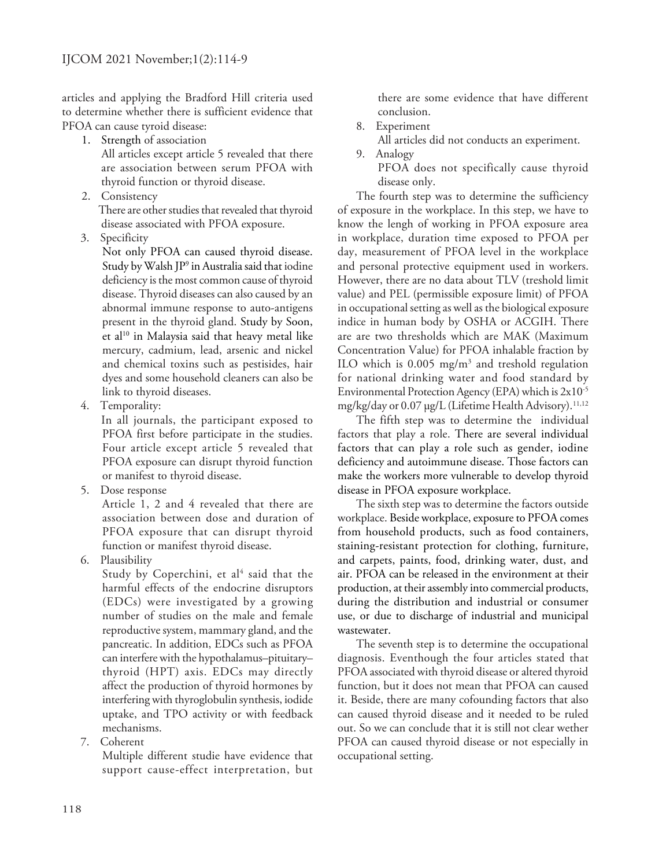articles and applying the Bradford Hill criteria used to determine whether there is sufficient evidence that PFOA can cause tyroid disease:

- 1. Strength of association All articles except article 5 revealed that there are association between serum PFOA with thyroid function or thyroid disease.
- 2. Consistency
	- There are other studies that revealed that thyroid disease associated with PFOA exposure.
- 3. Specificity

Not only PFOA can caused thyroid disease. Study by Walsh JP9 in Australia said that iodine deficiency is the most common cause of thyroid disease. Thyroid diseases can also caused by an abnormal immune response to auto-antigens present in the thyroid gland. Study by Soon, et al<sup>10</sup> in Malaysia said that heavy metal like mercury, cadmium, lead, arsenic and nickel and chemical toxins such as pestisides, hair dyes and some household cleaners can also be link to thyroid diseases.

4. Temporality:

In all journals, the participant exposed to PFOA first before participate in the studies. Four article except article 5 revealed that PFOA exposure can disrupt thyroid function or manifest to thyroid disease.

5. Dose response

Article 1, 2 and 4 revealed that there are association between dose and duration of PFOA exposure that can disrupt thyroid function or manifest thyroid disease.

6. Plausibility

Study by Coperchini, et al<sup>4</sup> said that the harmful effects of the endocrine disruptors (EDCs) were investigated by a growing number of studies on the male and female reproductive system, mammary gland, and the pancreatic. In addition, EDCs such as PFOA can interfere with the hypothalamus–pituitary– thyroid (HPT) axis. EDCs may directly affect the production of thyroid hormones by interfering with thyroglobulin synthesis, iodide uptake, and TPO activity or with feedback mechanisms.

7. Coherent

Multiple different studie have evidence that support cause-effect interpretation, but

there are some evidence that have different conclusion.

8. Experiment

All articles did not conducts an experiment.

- 9. Analogy
	- PFOA does not specifically cause thyroid disease only.

The fourth step was to determine the sufficiency of exposure in the workplace. In this step, we have to know the lengh of working in PFOA exposure area in workplace, duration time exposed to PFOA per day, measurement of PFOA level in the workplace and personal protective equipment used in workers. However, there are no data about TLV (treshold limit value) and PEL (permissible exposure limit) of PFOA in occupational setting as well as the biological exposure indice in human body by OSHA or ACGIH. There are are two thresholds which are MAK (Maximum Concentration Value) for PFOA inhalable fraction by ILO which is  $0.005$  mg/m<sup>3</sup> and treshold regulation for national drinking water and food standard by Environmental Protection Agency (EPA) which is 2x10-5 mg/kg/day or 0.07 μg/L (Lifetime Health Advisory).<sup>11,12</sup>

The fifth step was to determine the individual factors that play a role. There are several individual factors that can play a role such as gender, iodine deficiency and autoimmune disease. Those factors can make the workers more vulnerable to develop thyroid disease in PFOA exposure workplace.

The sixth step was to determine the factors outside workplace. Beside workplace, exposure to PFOA comes from household products, such as food containers, staining-resistant protection for clothing, furniture, and carpets, paints, food, drinking water, dust, and air. PFOA can be released in the environment at their production, at their assembly into commercial products, during the distribution and industrial or consumer use, or due to discharge of industrial and municipal wastewater.

The seventh step is to determine the occupational diagnosis. Eventhough the four articles stated that PFOA associated with thyroid disease or altered thyroid function, but it does not mean that PFOA can caused it. Beside, there are many cofounding factors that also can caused thyroid disease and it needed to be ruled out. So we can conclude that it is still not clear wether PFOA can caused thyroid disease or not especially in occupational setting.